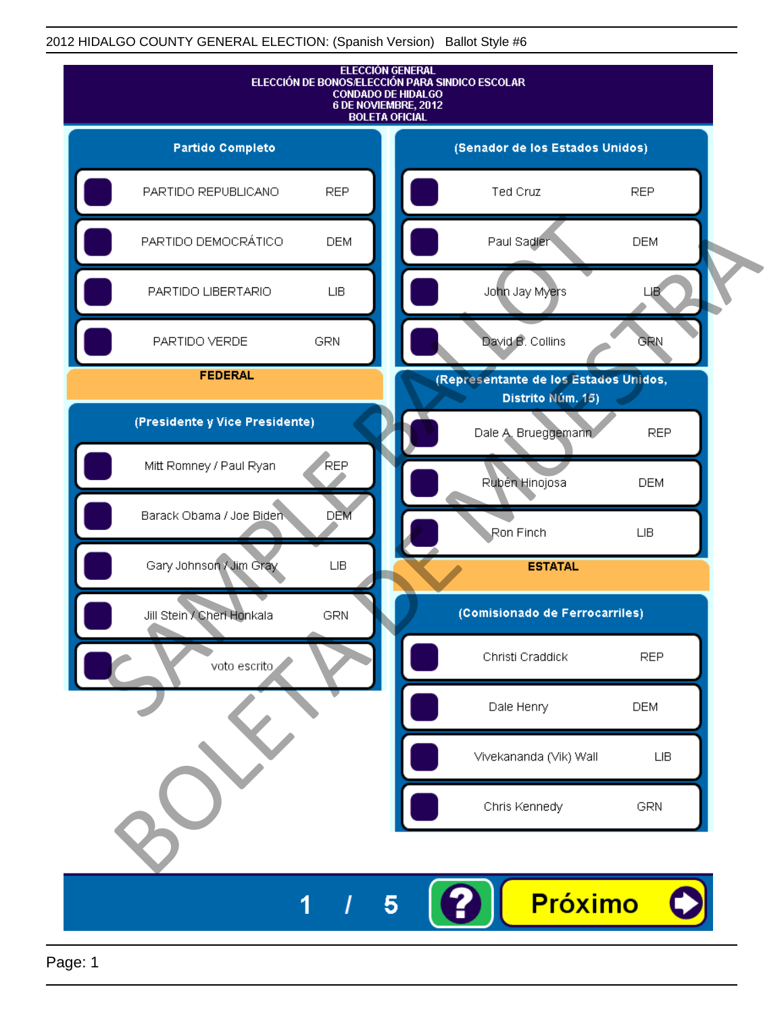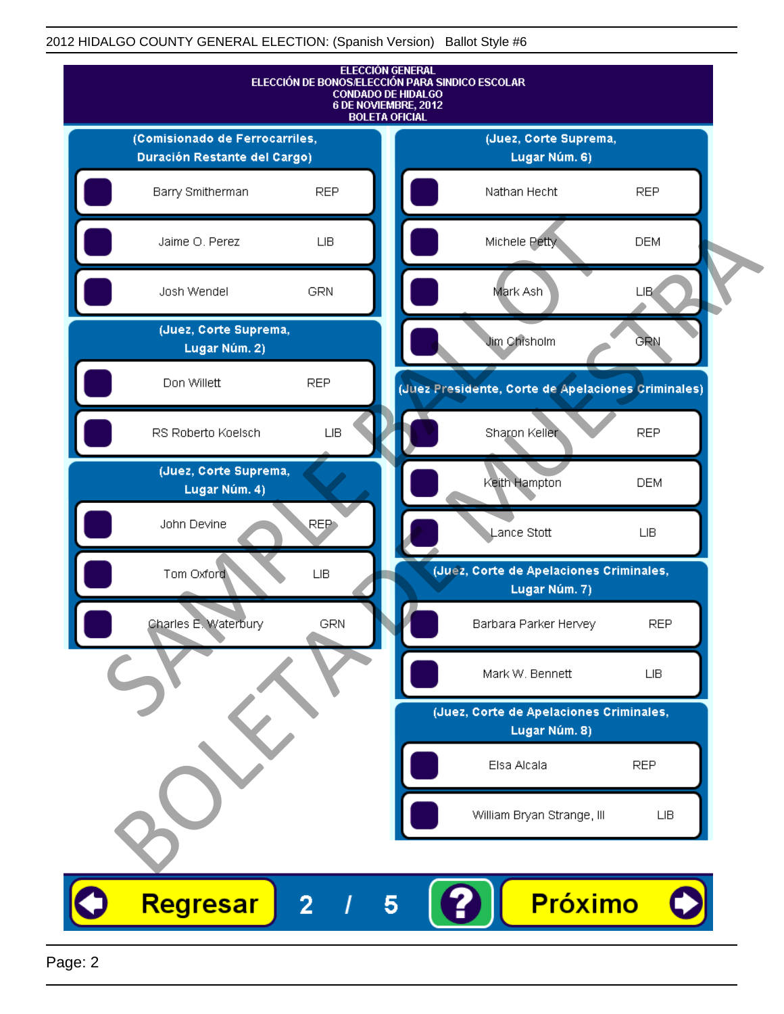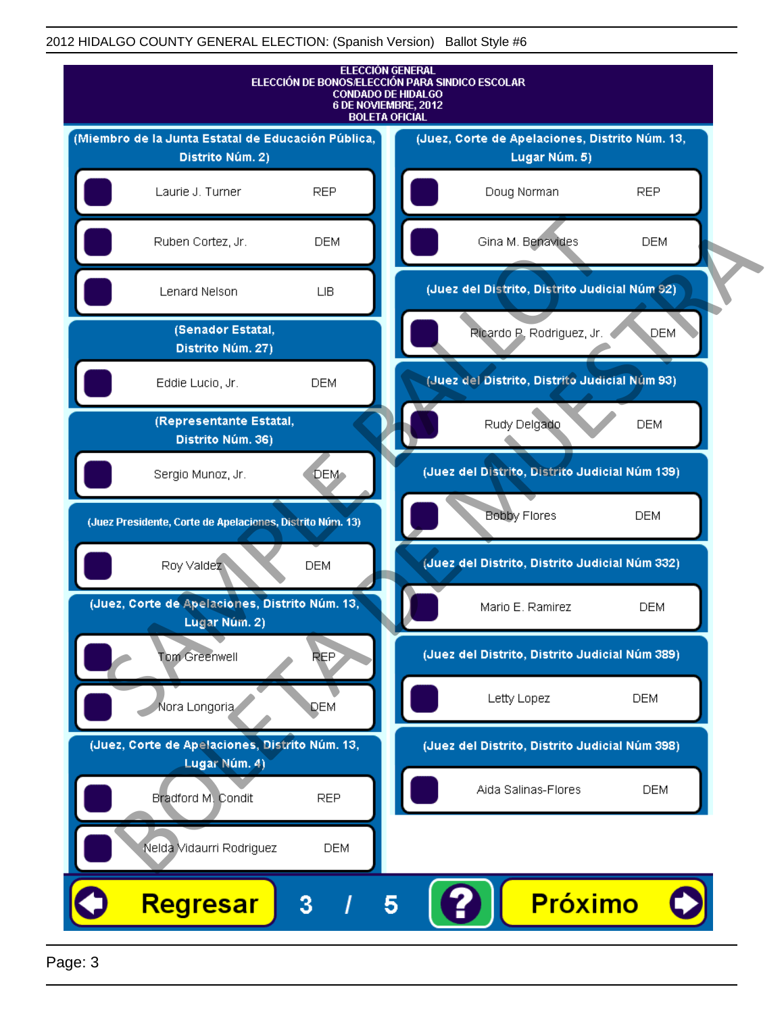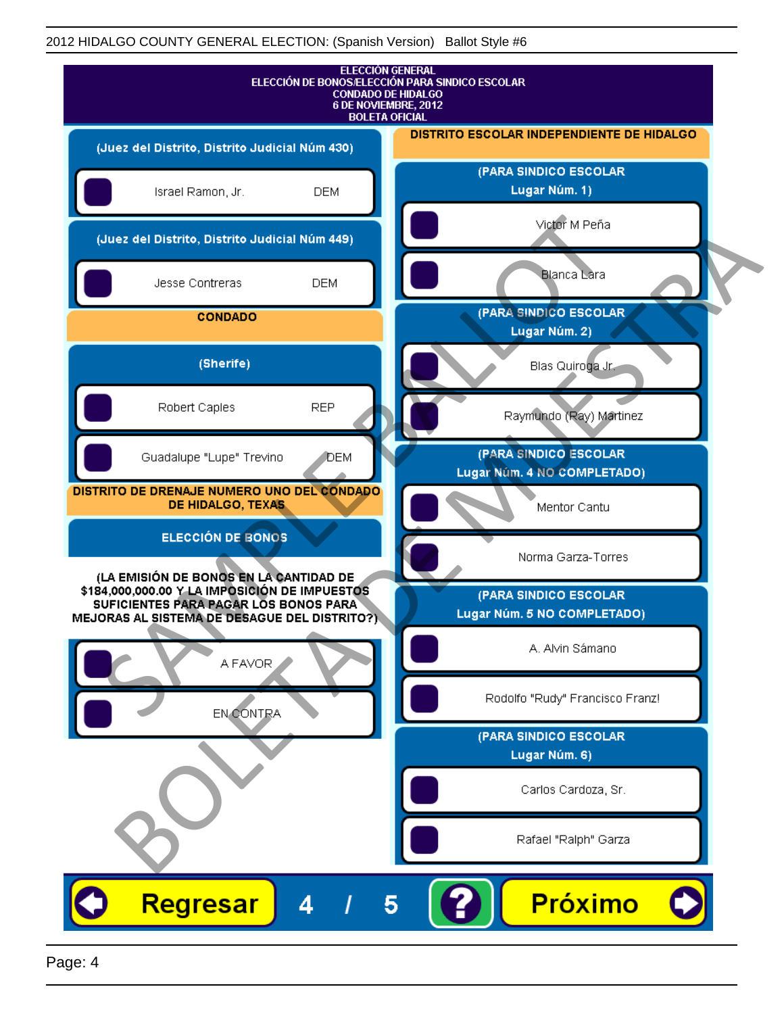| <b>ELECCIÓN GENERAL</b><br>ELECCIÓN DE BONOS/ELECCIÓN PARA SINDICO ESCOLAR<br><b>CONDADO DE HIDALGO</b><br>6 DE NOVIEMBRE, 2012<br><b>BOLETA OFICIAL</b>                         |                                                      |
|----------------------------------------------------------------------------------------------------------------------------------------------------------------------------------|------------------------------------------------------|
| (Juez del Distrito, Distrito Judicial Núm 430)                                                                                                                                   | DISTRITO ESCOLAR INDEPENDIENTE DE HIDALGO            |
| Israel Ramon, Jr.<br><b>DEM</b>                                                                                                                                                  | (PARA SINDICO ESCOLAR<br>Lugar Núm. 1)               |
| (Juez del Distrito, Distrito Judicial Núm 449)                                                                                                                                   | Victor M Peña                                        |
| Jesse Contreras<br><b>DEM</b>                                                                                                                                                    | Blanca Lara                                          |
| <b>CONDADO</b>                                                                                                                                                                   | (PARA SINDICO ESCOLAR<br>Lugar Núm. 2)               |
| (Sherife)                                                                                                                                                                        | Blas Quiroga Jr.                                     |
| <b>REP</b><br>Robert Caples                                                                                                                                                      | Raymundo (Ray) Martinez                              |
| <b>J</b> DEM<br>Guadalupe "Lupe" Trevino                                                                                                                                         | (PARA SINDICO ESCOLAR<br>Lugar Núm. 4 NO COMPLETADO) |
| DISTRITO DE DRENAJE NUMERO UNO DEL CONDADO<br>DE HIDALGO, TEXAS                                                                                                                  | Mentor Cantu                                         |
| <b>ELECCIÓN DE BONOS</b>                                                                                                                                                         | Norma Garza-Torres                                   |
| (LA EMISIÓN DE BONOS EN LA CANTIDAD DE<br>\$184,000,000.00 Y LA IMPOSICIÓN DE IMPUESTOS<br>SUFICIENTES PARA PAGAR LOS BONOS PARA<br>MEJORAS AL SISTEMA DE DESAGUE DEL DISTRITO?) | (PARA SINDICO ESCOLAR<br>Lugar Núm. 5 NO COMPLETADO) |
| A FAVOR                                                                                                                                                                          | A. Alvin Sámano                                      |
| EN CONTRA                                                                                                                                                                        | Rodolfo "Rudy" Francisco Franz!                      |
|                                                                                                                                                                                  | (PARA SINDICO ESCOLAR<br>Lugar Núm. 6)               |
|                                                                                                                                                                                  | Carlos Cardoza, Sr.                                  |
|                                                                                                                                                                                  | Rafael "Ralph" Garza                                 |
| <b>Regresar</b><br>5                                                                                                                                                             | <b>Próximo</b>                                       |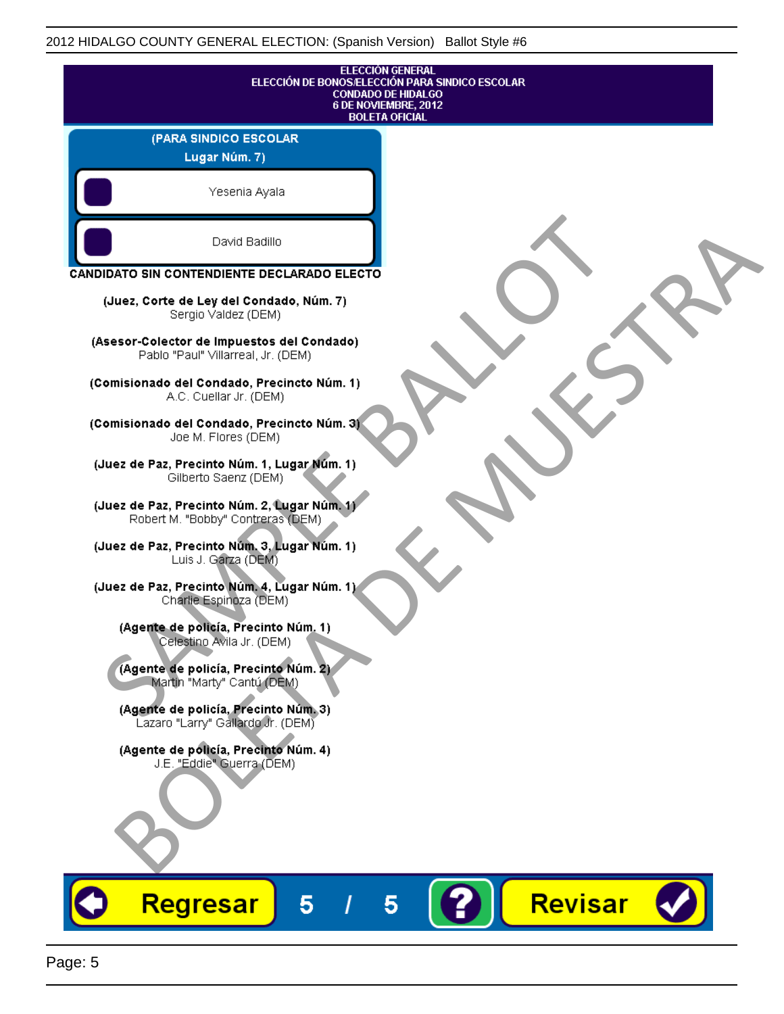|                                                                                   | <b>ELECCIÓN GENERAL</b><br>ELECCIÓN DE BONOS/ELECCIÓN PARA SINDICO ESCOLAR<br><b>CONDADO DE HIDALGO</b><br>6 DE NOVIEMBRE, 2012<br><b>BOLETA OFICIAL</b> |
|-----------------------------------------------------------------------------------|----------------------------------------------------------------------------------------------------------------------------------------------------------|
| (PARA SINDICO ESCOLAR                                                             |                                                                                                                                                          |
| Lugar Núm. 7)                                                                     |                                                                                                                                                          |
| Yesenia Ayala                                                                     |                                                                                                                                                          |
| David Badillo                                                                     |                                                                                                                                                          |
| CANDIDATO SIN CONTENDIENTE DECLARADO ELECTO                                       |                                                                                                                                                          |
| (Juez, Corte de Ley del Condado, Núm. 7)<br>Sergio Valdez (DEM)                   |                                                                                                                                                          |
| (Asesor-Colector de Impuestos del Condado)<br>Pablo "Paul" Villarreal, Jr. (DEM)  |                                                                                                                                                          |
| (Comisionado del Condado, Precincto Núm. 1)<br>A.C. Cuellar Jr. (DEM)             |                                                                                                                                                          |
| (Comisionado del Condado, Precincto Núm. 3)<br>Joe M. Flores (DEM)                |                                                                                                                                                          |
| (Juez de Paz, Precinto Núm. 1, Lugar Núm. 1)<br>Gilberto Saenz (DEM)              |                                                                                                                                                          |
| (Juez de Paz, Precinto Núm. 2, Lugar Núm. 1)<br>Robert M. "Bobby" Contreras (DEM) |                                                                                                                                                          |
| (Juez de Paz, Precinto Núm. 3, Lugar Núm. 1)<br>Luis J. Garza (DEM)               |                                                                                                                                                          |
| (Juez de Paz, Precinto Núm. 4, Lugar Núm. 1)<br>Charlie Espinoza (DEM)            |                                                                                                                                                          |
| (Agente de policía, Precinto Núm. 1)<br>Celestino Avila Jr. (DEM)                 |                                                                                                                                                          |
| (Agente de policía, Precinto Núm. 2)<br>Martin "Marty" Cantú (DEM)                |                                                                                                                                                          |
| (Agente de policía, Precinto Núm. 3)<br>Lazaro "Larry" Gallardo Jr. (DEM)         |                                                                                                                                                          |
| (Agente de policía, Precinto Núm. 4)<br>J.E. "Eddie" Guerra (DEM)                 |                                                                                                                                                          |
|                                                                                   |                                                                                                                                                          |
|                                                                                   |                                                                                                                                                          |
| 5<br><b>Regresar</b>                                                              | Revisar<br>5                                                                                                                                             |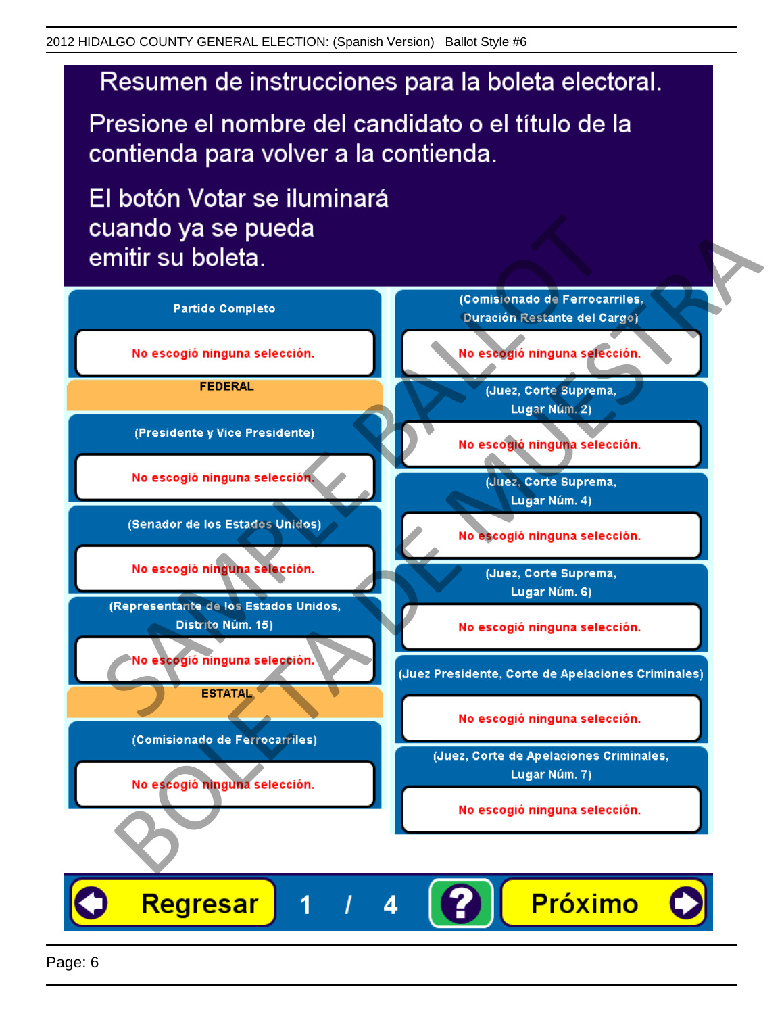Presione el nombre del candidato o el título de la contienda para volver a la contienda.

El botón Votar se iluminará

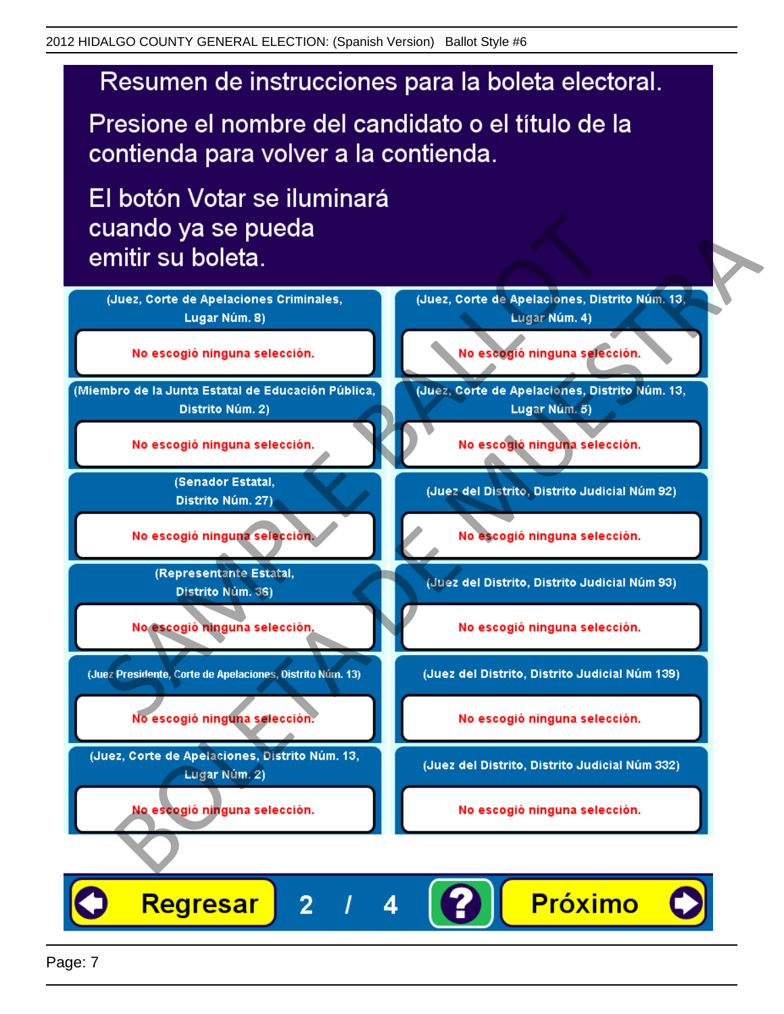Presione el nombre del candidato o el título de la contienda para volver a la contienda.

El botón Votar se iluminará



Regresar **Próximo**  $\overline{2}$ 4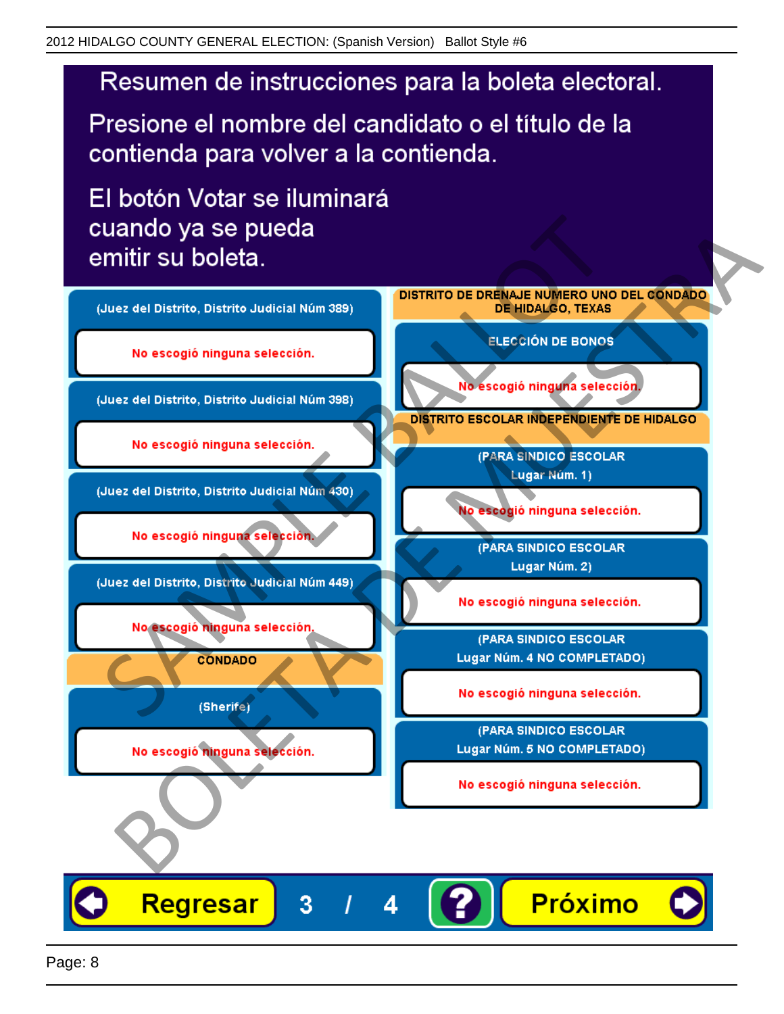Presione el nombre del candidato o el título de la contienda para volver a la contienda.

El botón Votar se iluminará